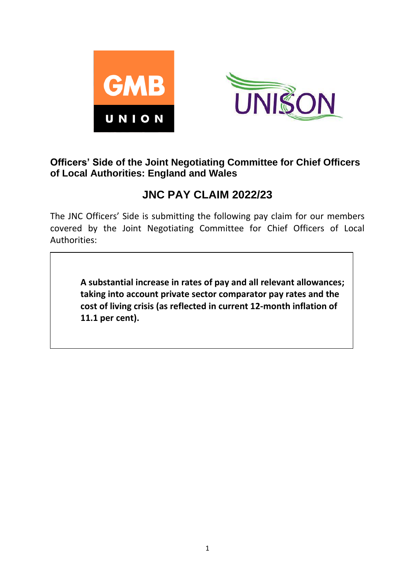



### **Officers' Side of the Joint Negotiating Committee for Chief Officers of Local Authorities: England and Wales**

# **JNC PAY CLAIM 2022/23**

The JNC Officers' Side is submitting the following pay claim for our members covered by the Joint Negotiating Committee for Chief Officers of Local Authorities:

**A substantial increase in rates of pay and all relevant allowances; taking into account private sector comparator pay rates and the cost of living crisis (as reflected in current 12-month inflation of 11.1 per cent).**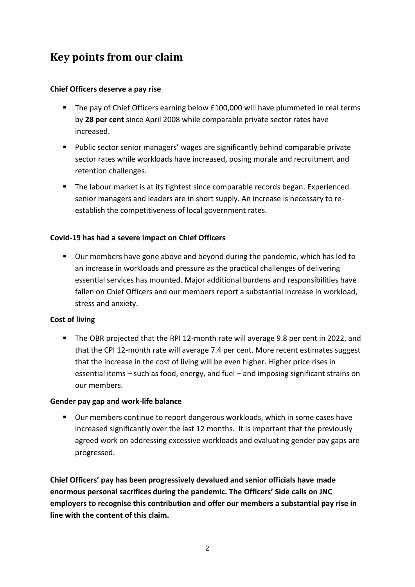# **Key points from our claim**

### **Chief Officers deserve a pay rise**

- The pay of Chief Officers earning below £100,000 will have plummeted in real terms by **28 per cent** since April 2008 while comparable private sector rates have increased.
- Public sector senior managers' wages are significantly behind comparable private sector rates while workloads have increased, posing morale and recruitment and retention challenges.
- The labour market is at its tightest since comparable records began. Experienced senior managers and leaders are in short supply. An increase is necessary to reestablish the competitiveness of local government rates.

### **Covid-19 has had a severe impact on Chief Officers**

▪ Our members have gone above and beyond during the pandemic, which has led to an increase in workloads and pressure as the practical challenges of delivering essential services has mounted. Major additional burdens and responsibilities have fallen on Chief Officers and our members report a substantial increase in workload, stress and anxiety.

#### **Cost of living**

■ The OBR projected that the RPI 12-month rate will average 9.8 per cent in 2022, and that the CPI 12-month rate will average 7.4 per cent. More recent estimates suggest that the increase in the cost of living will be even higher. Higher price rises in essential items – such as food, energy, and fuel – and imposing significant strains on our members.

#### **Gender pay gap and work-life balance**

■ Our members continue to report dangerous workloads, which in some cases have increased significantly over the last 12 months. It is important that the previously agreed work on addressing excessive workloads and evaluating gender pay gaps are progressed.

**Chief Officers' pay has been progressively devalued and senior officials have made enormous personal sacrifices during the pandemic. The Officers' Side calls on JNC employers to recognise this contribution and offer our members a substantial pay rise in line with the content of this claim.**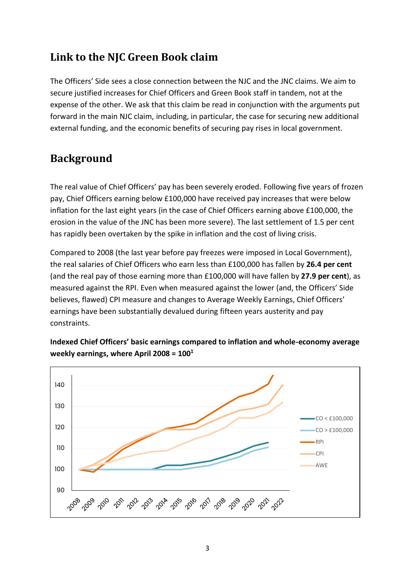## **Link to the NJC Green Book claim**

The Officers' Side sees a close connection between the NJC and the JNC claims. We aim to secure justified increases for Chief Officers and Green Book staff in tandem, not at the expense of the other. We ask that this claim be read in conjunction with the arguments put forward in the main NJC claim, including, in particular, the case for securing new additional external funding, and the economic benefits of securing pay rises in local government.

# **Background**

The real value of Chief Officers' pay has been severely eroded. Following five years of frozen pay, Chief Officers earning below £100,000 have received pay increases that were below inflation for the last eight years (in the case of Chief Officers earning above £100,000, the erosion in the value of the JNC has been more severe). The last settlement of 1.5 per cent has rapidly been overtaken by the spike in inflation and the cost of living crisis.

Compared to 2008 (the last year before pay freezes were imposed in Local Government), the real salaries of Chief Officers who earn less than £100,000 has fallen by **26.4 per cent** (and the real pay of those earning more than £100,000 will have fallen by **27.9 per cent**), as measured against the RPI. Even when measured against the lower (and, the Officers' Side believes, flawed) CPI measure and changes to Average Weekly Earnings, Chief Officers' earnings have been substantially devalued during fifteen years austerity and pay constraints.



**Indexed Chief Officers' basic earnings compared to inflation and whole-economy average weekly earnings, where April 2008 = 100<sup>1</sup>**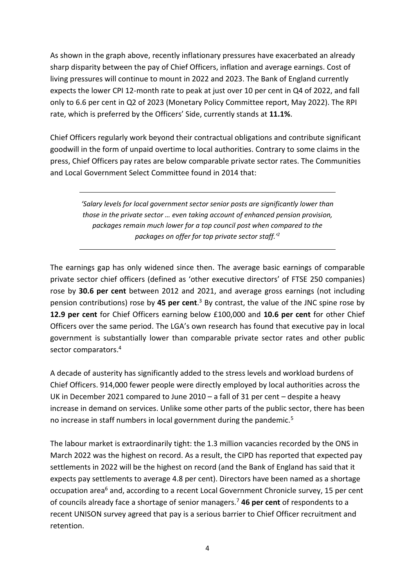As shown in the graph above, recently inflationary pressures have exacerbated an already sharp disparity between the pay of Chief Officers, inflation and average earnings. Cost of living pressures will continue to mount in 2022 and 2023. The Bank of England currently expects the lower CPI 12-month rate to peak at just over 10 per cent in Q4 of 2022, and fall only to 6.6 per cent in Q2 of 2023 (Monetary Policy Committee report, May 2022). The RPI rate, which is preferred by the Officers' Side, currently stands at **11.1%**.

Chief Officers regularly work beyond their contractual obligations and contribute significant goodwill in the form of unpaid overtime to local authorities. Contrary to some claims in the press, Chief Officers pay rates are below comparable private sector rates. The Communities and Local Government Select Committee found in 2014 that:

> *'Salary levels for local government sector senior posts are significantly lower than those in the private sector … even taking account of enhanced pension provision, packages remain much lower for a top council post when compared to the packages on offer for top private sector staff.'<sup>2</sup>*

The earnings gap has only widened since then. The average basic earnings of comparable private sector chief officers (defined as 'other executive directors' of FTSE 250 companies) rose by **30.6 per cent** between 2012 and 2021, and average gross earnings (not including pension contributions) rose by **45 per cent**. <sup>3</sup> By contrast, the value of the JNC spine rose by **12.9 per cent** for Chief Officers earning below £100,000 and **10.6 per cent** for other Chief Officers over the same period. The LGA's own research has found that executive pay in local government is substantially lower than comparable private sector rates and other public sector comparators. 4

A decade of austerity has significantly added to the stress levels and workload burdens of Chief Officers. 914,000 fewer people were directly employed by local authorities across the UK in December 2021 compared to June 2010 – a fall of 31 per cent – despite a heavy increase in demand on services. Unlike some other parts of the public sector, there has been no increase in staff numbers in local government during the pandemic.<sup>5</sup>

The labour market is extraordinarily tight: the 1.3 million vacancies recorded by the ONS in March 2022 was the highest on record. As a result, the CIPD has reported that expected pay settlements in 2022 will be the highest on record (and the Bank of England has said that it expects pay settlements to average 4.8 per cent). Directors have been named as a shortage occupation area<sup>6</sup> and, according to a recent Local Government Chronicle survey, 15 per cent of councils already face a shortage of senior managers.<sup>7</sup> **46 per cent** of respondents to a recent UNISON survey agreed that pay is a serious barrier to Chief Officer recruitment and retention.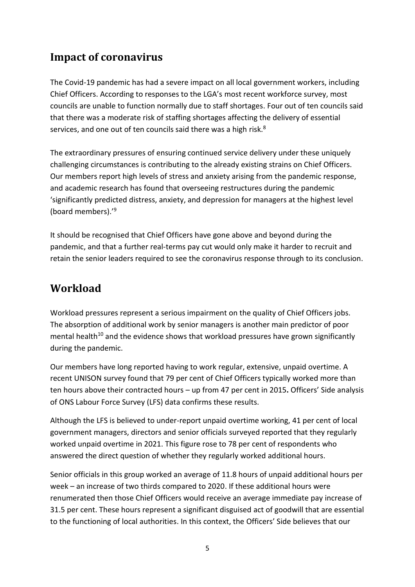## **Impact of coronavirus**

The Covid-19 pandemic has had a severe impact on all local government workers, including Chief Officers. According to responses to the LGA's most recent workforce survey, most councils are unable to function normally due to staff shortages. Four out of ten councils said that there was a moderate risk of staffing shortages affecting the delivery of essential services, and one out of ten councils said there was a high risk.<sup>8</sup>

The extraordinary pressures of ensuring continued service delivery under these uniquely challenging circumstances is contributing to the already existing strains on Chief Officers. Our members report high levels of stress and anxiety arising from the pandemic response, and academic research has found that overseeing restructures during the pandemic 'significantly predicted distress, anxiety, and depression for managers at the highest level (board members).'<sup>9</sup>

It should be recognised that Chief Officers have gone above and beyond during the pandemic, and that a further real-terms pay cut would only make it harder to recruit and retain the senior leaders required to see the coronavirus response through to its conclusion.

### **Workload**

Workload pressures represent a serious impairment on the quality of Chief Officers jobs. The absorption of additional work by senior managers is another main predictor of poor mental health<sup>10</sup> and the evidence shows that workload pressures have grown significantly during the pandemic.

Our members have long reported having to work regular, extensive, unpaid overtime. A recent UNISON survey found that 79 per cent of Chief Officers typically worked more than ten hours above their contracted hours – up from 47 per cent in 2015**.** Officers' Side analysis of ONS Labour Force Survey (LFS) data confirms these results.

Although the LFS is believed to under-report unpaid overtime working, 41 per cent of local government managers, directors and senior officials surveyed reported that they regularly worked unpaid overtime in 2021. This figure rose to 78 per cent of respondents who answered the direct question of whether they regularly worked additional hours.

Senior officials in this group worked an average of 11.8 hours of unpaid additional hours per week – an increase of two thirds compared to 2020. If these additional hours were renumerated then those Chief Officers would receive an average immediate pay increase of 31.5 per cent. These hours represent a significant disguised act of goodwill that are essential to the functioning of local authorities. In this context, the Officers' Side believes that our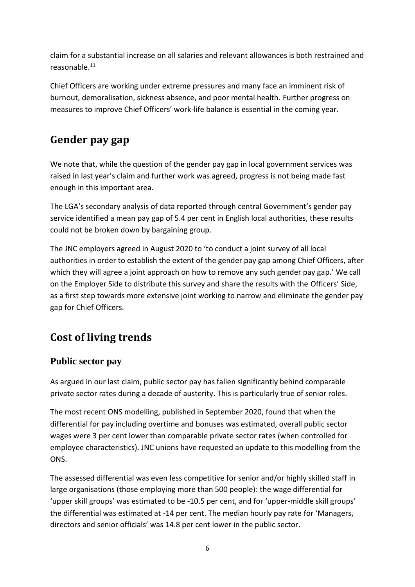claim for a substantial increase on all salaries and relevant allowances is both restrained and reasonable.<sup>11</sup>

Chief Officers are working under extreme pressures and many face an imminent risk of burnout, demoralisation, sickness absence, and poor mental health. Further progress on measures to improve Chief Officers' work-life balance is essential in the coming year.

## **Gender pay gap**

We note that, while the question of the gender pay gap in local government services was raised in last year's claim and further work was agreed, progress is not being made fast enough in this important area.

The LGA's secondary analysis of data reported through central Government's gender pay service identified a mean pay gap of 5.4 per cent in English local authorities, these results could not be broken down by bargaining group.

The JNC employers agreed in August 2020 to 'to conduct a joint survey of all local authorities in order to establish the extent of the gender pay gap among Chief Officers, after which they will agree a joint approach on how to remove any such gender pay gap.' We call on the Employer Side to distribute this survey and share the results with the Officers' Side, as a first step towards more extensive joint working to narrow and eliminate the gender pay gap for Chief Officers.

# **Cost of living trends**

### **Public sector pay**

As argued in our last claim, public sector pay has fallen significantly behind comparable private sector rates during a decade of austerity. This is particularly true of senior roles.

The most recent ONS modelling, published in September 2020, found that when the differential for pay including overtime and bonuses was estimated, overall public sector wages were 3 per cent lower than comparable private sector rates (when controlled for employee characteristics). JNC unions have requested an update to this modelling from the ONS.

The assessed differential was even less competitive for senior and/or highly skilled staff in large organisations (those employing more than 500 people): the wage differential for 'upper skill groups' was estimated to be -10.5 per cent, and for 'upper-middle skill groups' the differential was estimated at -14 per cent. The median hourly pay rate for 'Managers, directors and senior officials' was 14.8 per cent lower in the public sector.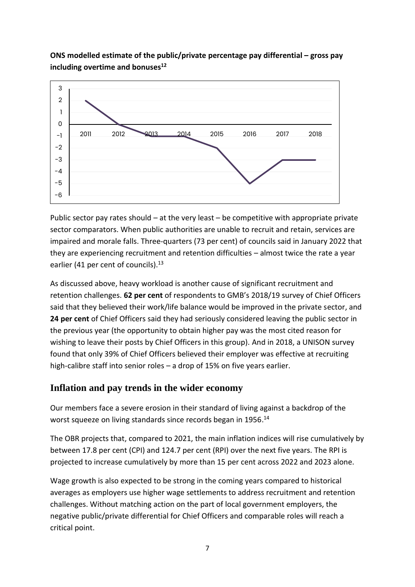### **ONS modelled estimate of the public/private percentage pay differential – gross pay including overtime and bonuses<sup>12</sup>**



Public sector pay rates should – at the very least – be competitive with appropriate private sector comparators. When public authorities are unable to recruit and retain, services are impaired and morale falls. Three-quarters (73 per cent) of councils said in January 2022 that they are experiencing recruitment and retention difficulties – almost twice the rate a year earlier (41 per cent of councils).<sup>13</sup>

As discussed above, heavy workload is another cause of significant recruitment and retention challenges. **62 per cent** of respondents to GMB's 2018/19 survey of Chief Officers said that they believed their work/life balance would be improved in the private sector, and **24 per cent** of Chief Officers said they had seriously considered leaving the public sector in the previous year (the opportunity to obtain higher pay was the most cited reason for wishing to leave their posts by Chief Officers in this group). And in 2018, a UNISON survey found that only 39% of Chief Officers believed their employer was effective at recruiting high-calibre staff into senior roles – a drop of 15% on five years earlier.

### **Inflation and pay trends in the wider economy**

Our members face a severe erosion in their standard of living against a backdrop of the worst squeeze on living standards since records began in 1956.<sup>14</sup>

The OBR projects that, compared to 2021, the main inflation indices will rise cumulatively by between 17.8 per cent (CPI) and 124.7 per cent (RPI) over the next five years. The RPI is projected to increase cumulatively by more than 15 per cent across 2022 and 2023 alone.

Wage growth is also expected to be strong in the coming years compared to historical averages as employers use higher wage settlements to address recruitment and retention challenges. Without matching action on the part of local government employers, the negative public/private differential for Chief Officers and comparable roles will reach a critical point.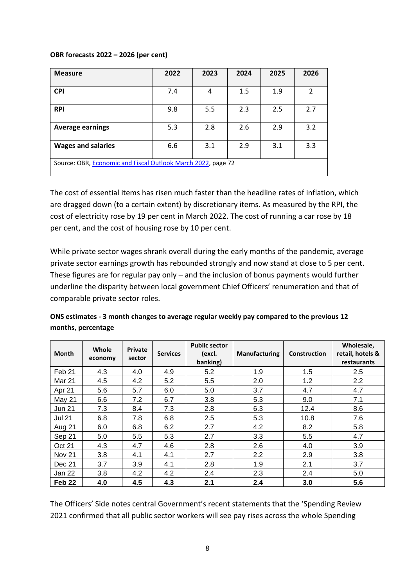#### **OBR forecasts 2022 – 2026 (per cent)**

| <b>Measure</b>                                               | 2022 | 2023 | 2024 | 2025 | 2026 |  |  |  |
|--------------------------------------------------------------|------|------|------|------|------|--|--|--|
|                                                              |      |      |      |      |      |  |  |  |
| <b>CPI</b>                                                   | 7.4  | 4    | 1.5  | 1.9  | 2    |  |  |  |
|                                                              |      |      |      |      |      |  |  |  |
| <b>RPI</b>                                                   | 9.8  | 5.5  | 2.3  | 2.5  | 2.7  |  |  |  |
|                                                              |      |      |      |      |      |  |  |  |
| <b>Average earnings</b>                                      | 5.3  | 2.8  | 2.6  | 2.9  | 3.2  |  |  |  |
|                                                              |      |      |      |      |      |  |  |  |
| <b>Wages and salaries</b>                                    | 6.6  | 3.1  | 2.9  | 3.1  | 3.3  |  |  |  |
|                                                              |      |      |      |      |      |  |  |  |
| Source: OBR, Economic and Fiscal Outlook March 2022, page 72 |      |      |      |      |      |  |  |  |
|                                                              |      |      |      |      |      |  |  |  |

The cost of essential items has risen much faster than the headline rates of inflation, which are dragged down (to a certain extent) by discretionary items. As measured by the RPI, the cost of electricity rose by 19 per cent in March 2022. The cost of running a car rose by 18 per cent, and the cost of housing rose by 10 per cent.

While private sector wages shrank overall during the early months of the pandemic, average private sector earnings growth has rebounded strongly and now stand at close to 5 per cent. These figures are for regular pay only – and the inclusion of bonus payments would further underline the disparity between local government Chief Officers' renumeration and that of comparable private sector roles.

| ONS estimates - 3 month changes to average regular weekly pay compared to the previous 12 |
|-------------------------------------------------------------------------------------------|
| months, percentage                                                                        |

| <b>Month</b>      | Whole<br>economy | <b>Private</b><br>sector | <b>Services</b> | <b>Public sector</b><br>(excl.<br>banking) | <b>Manufacturing</b> | Construction | Wholesale,<br>retail, hotels &<br>restaurants |
|-------------------|------------------|--------------------------|-----------------|--------------------------------------------|----------------------|--------------|-----------------------------------------------|
| Feb <sub>21</sub> | 4.3              | 4.0                      | 4.9             | 5.2                                        | 1.9                  | 1.5          | 2.5                                           |
| <b>Mar 21</b>     | 4.5              | 4.2                      | 5.2             | 5.5                                        | 2.0                  | 1.2          | 2.2                                           |
| Apr 21            | 5.6              | 5.7                      | 6.0             | 5.0                                        | 3.7                  | 4.7          | 4.7                                           |
| May 21            | 6.6              | 7.2                      | 6.7             | 3.8                                        | 5.3                  | 9.0          | 7.1                                           |
| <b>Jun 21</b>     | 7.3              | 8.4                      | 7.3             | 2.8                                        | 6.3                  | 12.4         | 8.6                                           |
| <b>Jul 21</b>     | 6.8              | 7.8                      | 6.8             | 2.5                                        | 5.3                  | 10.8         | 7.6                                           |
| Aug 21            | 6.0              | 6.8                      | 6.2             | 2.7                                        | 4.2                  | 8.2          | 5.8                                           |
| Sep 21            | 5.0              | 5.5                      | 5.3             | 2.7                                        | 3.3                  | 5.5          | 4.7                                           |
| Oct 21            | 4.3              | 4.7                      | 4.6             | 2.8                                        | 2.6                  | 4.0          | 3.9                                           |
| Nov <sub>21</sub> | 3.8              | 4.1                      | 4.1             | 2.7                                        | 2.2                  | 2.9          | 3.8                                           |
| Dec 21            | 3.7              | 3.9                      | 4.1             | 2.8                                        | 1.9                  | 2.1          | 3.7                                           |
| Jan 22            | 3.8              | 4.2                      | 4.2             | 2.4                                        | 2.3                  | 2.4          | 5.0                                           |
| Feb <sub>22</sub> | 4.0              | 4.5                      | 4.3             | 2.1                                        | 2.4                  | 3.0          | 5.6                                           |

The Officers' Side notes central Government's recent statements that the 'Spending Review 2021 confirmed that all public sector workers will see pay rises across the whole Spending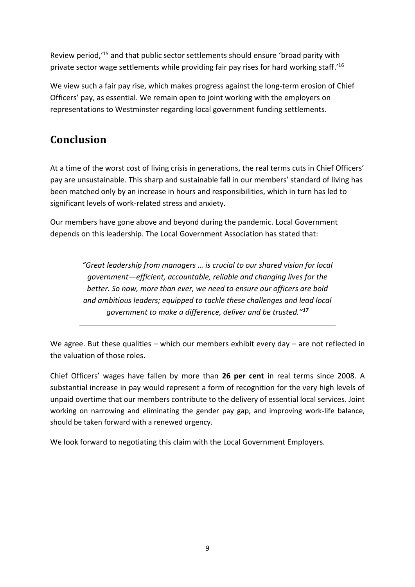Review period,'<sup>15</sup> and that public sector settlements should ensure 'broad parity with private sector wage settlements while providing fair pay rises for hard working staff.'<sup>16</sup>

We view such a fair pay rise, which makes progress against the long-term erosion of Chief Officers' pay, as essential. We remain open to joint working with the employers on representations to Westminster regarding local government funding settlements.

# **Conclusion**

At a time of the worst cost of living crisis in generations, the real terms cuts in Chief Officers' pay are unsustainable. This sharp and sustainable fall in our members' standard of living has been matched only by an increase in hours and responsibilities, which in turn has led to significant levels of work-related stress and anxiety.

Our members have gone above and beyond during the pandemic. Local Government depends on this leadership. The Local Government Association has stated that:

> *"Great leadership from managers … is crucial to our shared vision for local government—efficient, accountable, reliable and changing lives for the better. So now, more than ever, we need to ensure our officers are bold and ambitious leaders; equipped to tackle these challenges and lead local government to make a difference, deliver and be trusted."<sup>17</sup>*

We agree. But these qualities – which our members exhibit every day – are not reflected in the valuation of those roles.

Chief Officers' wages have fallen by more than **26 per cent** in real terms since 2008. A substantial increase in pay would represent a form of recognition for the very high levels of unpaid overtime that our members contribute to the delivery of essential local services. Joint working on narrowing and eliminating the gender pay gap, and improving work-life balance, should be taken forward with a renewed urgency.

We look forward to negotiating this claim with the Local Government Employers.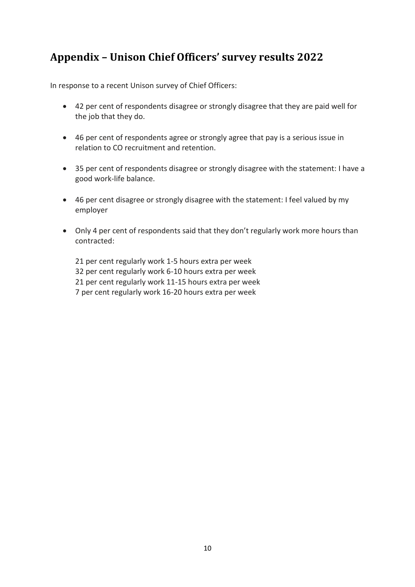## **Appendix – Unison Chief Officers' survey results 2022**

In response to a recent Unison survey of Chief Officers:

- 42 per cent of respondents disagree or strongly disagree that they are paid well for the job that they do.
- 46 per cent of respondents agree or strongly agree that pay is a serious issue in relation to CO recruitment and retention.
- 35 per cent of respondents disagree or strongly disagree with the statement: I have a good work-life balance.
- 46 per cent disagree or strongly disagree with the statement: I feel valued by my employer
- Only 4 per cent of respondents said that they don't regularly work more hours than contracted:

21 per cent regularly work 1-5 hours extra per week 32 per cent regularly work 6-10 hours extra per week 21 per cent regularly work 11-15 hours extra per week 7 per cent regularly work 16-20 hours extra per week